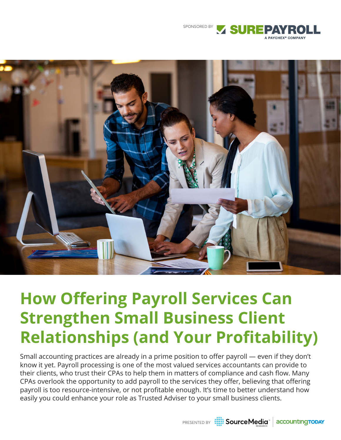



# **How Offering Payroll Services Can Strengthen Small Business Client Relationships (and Your Profitability)**

Small accounting practices are already in a prime position to offer payroll — even if they don't know it yet. Payroll processing is one of the most valued services accountants can provide to their clients, who trust their CPAs to help them in matters of compliance and cash flow. Many CPAs overlook the opportunity to add payroll to the services they offer, believing that offering payroll is too resource-intensive, or not profitable enough. It's time to better understand how easily you could enhance your role as Trusted Adviser to your small business clients.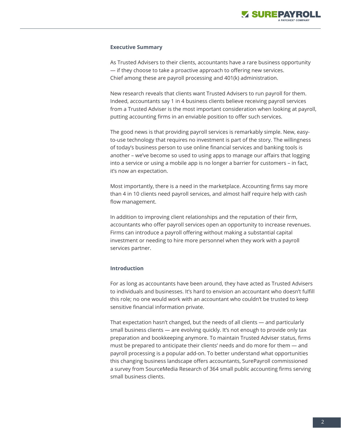

#### **Executive Summary**

As Trusted Advisers to their clients, accountants have a rare business opportunity — if they choose to take a proactive approach to offering new services. Chief among these are payroll processing and 401(k) administration.

New research reveals that clients want Trusted Advisers to run payroll for them. Indeed, accountants say 1 in 4 business clients believe receiving payroll services from a Trusted Adviser is the most important consideration when looking at payroll, putting accounting firms in an enviable position to offer such services.

The good news is that providing payroll services is remarkably simple. New, easyto-use technology that requires no investment is part of the story. The willingness of today's business person to use online financial services and banking tools is another – we've become so used to using apps to manage our affairs that logging into a service or using a mobile app is no longer a barrier for customers – in fact, it's now an expectation.

Most importantly, there is a need in the marketplace. Accounting firms say more than 4 in 10 clients need payroll services, and almost half require help with cash flow management.

In addition to improving client relationships and the reputation of their firm, accountants who offer payroll services open an opportunity to increase revenues. Firms can introduce a payroll offering without making a substantial capital investment or needing to hire more personnel when they work with a payroll services partner.

#### **Introduction**

For as long as accountants have been around, they have acted as Trusted Advisers to individuals and businesses. It's hard to envision an accountant who doesn't fulfill this role; no one would work with an accountant who couldn't be trusted to keep sensitive financial information private.

That expectation hasn't changed, but the needs of all clients — and particularly small business clients — are evolving quickly. It's not enough to provide only tax preparation and bookkeeping anymore. To maintain Trusted Adviser status, firms must be prepared to anticipate their clients' needs and do more for them — and payroll processing is a popular add-on. To better understand what opportunities this changing business landscape offers accountants, SurePayroll commissioned a survey from SourceMedia Research of 364 small public accounting firms serving small business clients.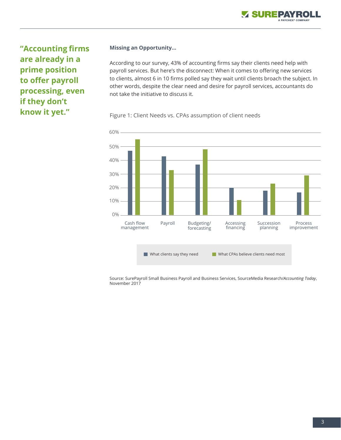

**"Accounting firms are already in a prime position to offer payroll processing, even if they don't know it yet."**

#### **Missing an Opportunity…**

According to our survey, 43% of accounting firms say their clients need help with payroll services. But here's the disconnect: When it comes to offering new services to clients, almost 6 in 10 firms polled say they wait until clients broach the subject. In other words, despite the clear need and desire for payroll services, accountants do not take the initiative to discuss it.

## Figure 1: Client Needs vs. CPAs assumption of client needs



Source: SurePayroll Small Business Payroll and Business Services, SourceMedia Research/*Accounting Today*, November 2017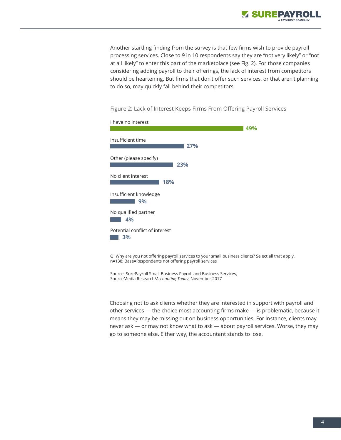

Another startling finding from the survey is that few firms wish to provide payroll processing services. Close to 9 in 10 respondents say they are "not very likely" or "not at all likely" to enter this part of the marketplace (see Fig. 2). For those companies considering adding payroll to their offerings, the lack of interest from competitors should be heartening. But firms that don't offer such services, or that aren't planning to do so, may quickly fall behind their competitors.

Figure 2: Lack of Interest Keeps Firms From Offering Payroll Services



Q: Why are you not offering payroll services to your small business clients? Select all that apply. n=138; Base=Respondents not offering payroll services

Source: SurePayroll Small Business Payroll and Business Services, SourceMedia Research/*Accounting Today*, November 2017

Choosing not to ask clients whether they are interested in support with payroll and other services — the choice most accounting firms make — is problematic, because it means they may be missing out on business opportunities. For instance, clients may never ask — or may not know what to ask — about payroll services. Worse, they may go to someone else. Either way, the accountant stands to lose.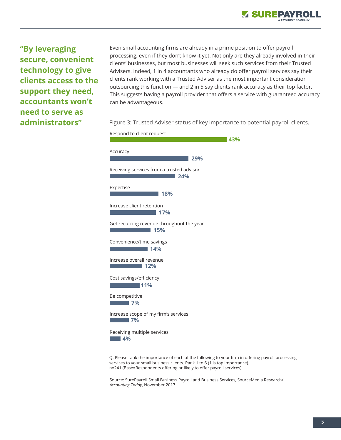**"By leveraging secure, convenient technology to give clients access to the support they need, accountants won't need to serve as administrators"**

Even small accounting firms are already in a prime position to offer payroll processing, even if they don't know it yet. Not only are they already involved in their clients' businesses, but most businesses will seek such services from their Trusted Advisers. Indeed, 1 in 4 accountants who already do offer payroll services say their clients rank working with a Trusted Adviser as the most important consideration outsourcing this function — and 2 in 5 say clients rank accuracy as their top factor. This suggests having a payroll provider that offers a service with guaranteed accuracy can be advantageous.

Figure 3: Trusted Adviser status of key importance to potential payroll clients.



Q: Please rank the importance of each of the following to your firm in offering payroll processing services to your small business clients. Rank 1 to 6 (1 is top importance). n=241 (Base=Respondents offering or likely to offer payroll services)

Source: SurePayroll Small Business Payroll and Business Services, SourceMedia Research/ *Accounting Today*, November 2017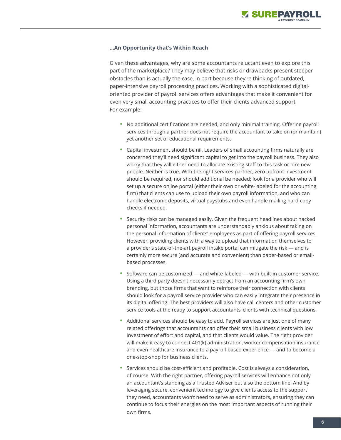### **…An Opportunity that's Within Reach**

Given these advantages, why are some accountants reluctant even to explore this part of the marketplace? They may believe that risks or drawbacks present steeper obstacles than is actually the case, in part because they're thinking of outdated, paper-intensive payroll processing practices. Working with a sophisticated digitaloriented provider of payroll services offers advantages that make it convenient for even very small accounting practices to offer their clients advanced support. For example:

- No additional certifications are needed, and only minimal training. Offering payroll services through a partner does not require the accountant to take on (or maintain) yet another set of educational requirements.
- Capital investment should be nil. Leaders of small accounting firms naturally are concerned they'll need significant capital to get into the payroll business. They also worry that they will either need to allocate existing staff to this task or hire new people. Neither is true. With the right services partner, zero upfront investment should be required, nor should additional be needed; look for a provider who will set up a secure online portal (either their own or white-labeled for the accounting firm) that clients can use to upload their own payroll information, and who can handle electronic deposits, virtual paystubs and even handle mailing hard-copy checks if needed.
- Security risks can be managed easily. Given the frequent headlines about hacked personal information, accountants are understandably anxious about taking on the personal information of clients' employees as part of offering payroll services. However, providing clients with a way to upload that information themselves to a provider's state-of-the-art payroll intake portal can mitigate the risk — and is certainly more secure (and accurate and convenient) than paper-based or emailbased processes.
- Software can be customized  $-$  and white-labeled  $-$  with built-in customer service. Using a third party doesn't necessarily detract from an accounting firm's own branding, but those firms that want to reinforce their connection with clients should look for a payroll service provider who can easily integrate their presence in its digital offering. The best providers will also have call centers and other customer service tools at the ready to support accountants' clients with technical questions.
- Additional services should be easy to add. Payroll services are just one of many related offerings that accountants can offer their small business clients with low investment of effort and capital, and that clients would value. The right provider will make it easy to connect 401(k) administration, worker compensation insurance and even healthcare insurance to a payroll-based experience — and to become a one-stop-shop for business clients.
- Services should be cost-efficient and profitable. Cost is always a consideration, of course. With the right partner, offering payroll services will enhance not only an accountant's standing as a Trusted Adviser but also the bottom line. And by leveraging secure, convenient technology to give clients access to the support they need, accountants won't need to serve as administrators, ensuring they can continue to focus their energies on the most important aspects of running their own firms.